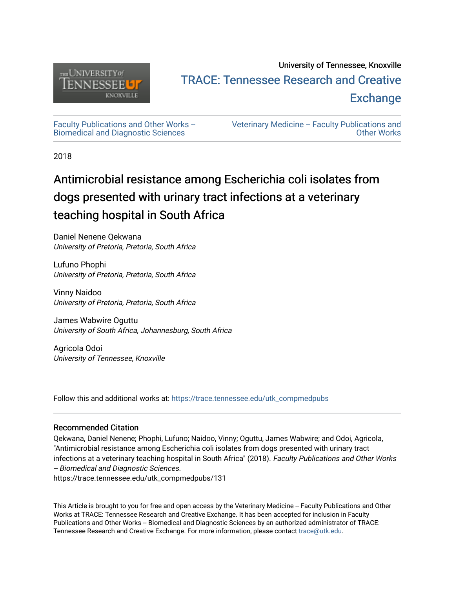

## University of Tennessee, Knoxville TRACE: T[ennessee Research and Cr](https://trace.tennessee.edu/)eative **Exchange**

[Faculty Publications and Other Works --](https://trace.tennessee.edu/utk_compmedpubs) [Biomedical and Diagnostic Sciences](https://trace.tennessee.edu/utk_compmedpubs)

[Veterinary Medicine -- Faculty Publications and](https://trace.tennessee.edu/vetfacpubs)  [Other Works](https://trace.tennessee.edu/vetfacpubs) 

2018

# Antimicrobial resistance among Escherichia coli isolates from dogs presented with urinary tract infections at a veterinary teaching hospital in South Africa

Daniel Nenene Qekwana University of Pretoria, Pretoria, South Africa

Lufuno Phophi University of Pretoria, Pretoria, South Africa

Vinny Naidoo University of Pretoria, Pretoria, South Africa

James Wabwire Oguttu University of South Africa, Johannesburg, South Africa

Agricola Odoi University of Tennessee, Knoxville

Follow this and additional works at: [https://trace.tennessee.edu/utk\\_compmedpubs](https://trace.tennessee.edu/utk_compmedpubs?utm_source=trace.tennessee.edu%2Futk_compmedpubs%2F131&utm_medium=PDF&utm_campaign=PDFCoverPages) 

### Recommended Citation

Qekwana, Daniel Nenene; Phophi, Lufuno; Naidoo, Vinny; Oguttu, James Wabwire; and Odoi, Agricola, "Antimicrobial resistance among Escherichia coli isolates from dogs presented with urinary tract infections at a veterinary teaching hospital in South Africa" (2018). Faculty Publications and Other Works -- Biomedical and Diagnostic Sciences.

https://trace.tennessee.edu/utk\_compmedpubs/131

This Article is brought to you for free and open access by the Veterinary Medicine -- Faculty Publications and Other Works at TRACE: Tennessee Research and Creative Exchange. It has been accepted for inclusion in Faculty Publications and Other Works -- Biomedical and Diagnostic Sciences by an authorized administrator of TRACE: Tennessee Research and Creative Exchange. For more information, please contact [trace@utk.edu](mailto:trace@utk.edu).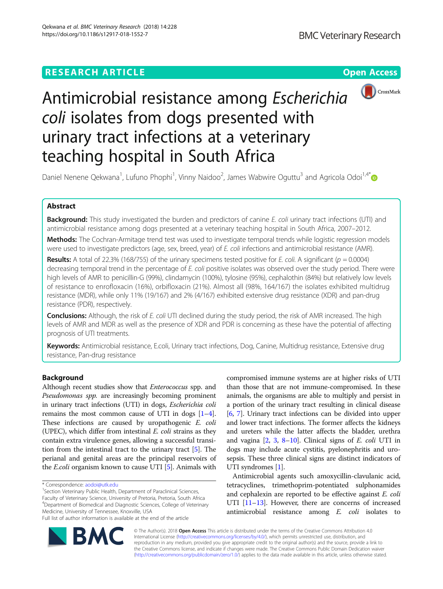## **RESEARCH ARTICLE Example 2014 CONSIDERING CONSIDERING CONSIDERING CONSIDERING CONSIDERING CONSIDERING CONSIDERING CONSIDERING CONSIDERING CONSIDERING CONSIDERING CONSIDERING CONSIDERING CONSIDERING CONSIDERING CONSIDE**



# Antimicrobial resistance among Escherichia coli isolates from dogs presented with urinary tract infections at a veterinary teaching hospital in South Africa

Daniel Nenene Qekwana<sup>1</sup>, Lufuno Phophi<sup>1</sup>, Vinny Naidoo<sup>2</sup>, James Wabwire Oguttu<sup>3</sup> and Agricola Odoi<sup>1,4\*</sup>

#### Abstract

Background: This study investigated the burden and predictors of canine E. coli urinary tract infections (UTI) and antimicrobial resistance among dogs presented at a veterinary teaching hospital in South Africa, 2007–2012.

Methods: The Cochran-Armitage trend test was used to investigate temporal trends while logistic regression models were used to investigate predictors (age, sex, breed, year) of E. coli infections and antimicrobial resistance (AMR).

Results: A total of 22.3% (168/755) of the urinary specimens tested positive for E. coli. A significant ( $p = 0.0004$ ) decreasing temporal trend in the percentage of E. coli positive isolates was observed over the study period. There were high levels of AMR to penicillin-G (99%), clindamycin (100%), tylosine (95%), cephalothin (84%) but relatively low levels of resistance to enrofloxacin (16%), orbifloxacin (21%). Almost all (98%, 164/167) the isolates exhibited multidrug resistance (MDR), while only 11% (19/167) and 2% (4/167) exhibited extensive drug resistance (XDR) and pan-drug resistance (PDR), respectively.

Conclusions: Although, the risk of E. coli UTI declined during the study period, the risk of AMR increased. The high levels of AMR and MDR as well as the presence of XDR and PDR is concerning as these have the potential of affecting prognosis of UTI treatments.

Keywords: Antimicrobial resistance, E.coli, Urinary tract infections, Dog, Canine, Multidrug resistance, Extensive drug resistance, Pan-drug resistance

#### Background

Although recent studies show that Enterococcus spp. and Pseudomonas spp. are increasingly becoming prominent in urinary tract infections (UTI) in dogs, Escherichia coli remains the most common cause of UTI in dogs  $[1-4]$  $[1-4]$  $[1-4]$  $[1-4]$  $[1-4]$ . These infections are caused by uropathogenic E. coli (UPEC), which differ from intestinal E. coli strains as they contain extra virulence genes, allowing a successful transition from the intestinal tract to the urinary tract [\[5](#page-6-0)]. The perianal and genital areas are the principal reservoirs of the E.coli organism known to cause UTI [\[5](#page-6-0)]. Animals with

<sup>1</sup> Section Veterinary Public Health, Department of Paraclinical Sciences, Faculty of Veterinary Science, University of Pretoria, Pretoria, South Africa 4 Department of Biomedical and Diagnostic Sciences, College of Veterinary Medicine, University of Tennessee, Knoxville, USA

compromised immune systems are at higher risks of UTI than those that are not immune-compromised. In these animals, the organisms are able to multiply and persist in a portion of the urinary tract resulting in clinical disease [[6,](#page-6-0) [7](#page-6-0)]. Urinary tract infections can be divided into upper and lower tract infections. The former affects the kidneys and ureters while the latter affects the bladder, urethra and vagina [[2](#page-5-0), [3,](#page-5-0) [8](#page-6-0)–[10](#page-6-0)]. Clinical signs of E. coli UTI in dogs may include acute cystitis, pyelonephritis and urosepsis. These three clinical signs are distinct indicators of UTI syndromes [\[1](#page-5-0)].

Antimicrobial agents such amoxycillin-clavulanic acid, tetracyclines, trimethoprim-potentiated sulphonamides and cephalexin are reported to be effective against E. coli UTI [\[11](#page-6-0)–[13](#page-6-0)]. However, there are concerns of increased antimicrobial resistance among E. coli isolates to



© The Author(s). 2018 Open Access This article is distributed under the terms of the Creative Commons Attribution 4.0 International License [\(http://creativecommons.org/licenses/by/4.0/](http://creativecommons.org/licenses/by/4.0/)), which permits unrestricted use, distribution, and reproduction in any medium, provided you give appropriate credit to the original author(s) and the source, provide a link to the Creative Commons license, and indicate if changes were made. The Creative Commons Public Domain Dedication waiver [\(http://creativecommons.org/publicdomain/zero/1.0/](http://creativecommons.org/publicdomain/zero/1.0/)) applies to the data made available in this article, unless otherwise stated.

<sup>\*</sup> Correspondence: [aodoi@utk.edu](mailto:aodoi@utk.edu) <sup>1</sup>

Full list of author information is available at the end of the article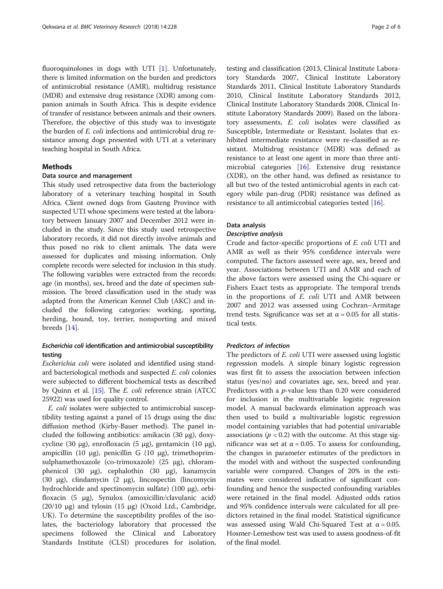fluoroquinolones in dogs with UTI [[1\]](#page-5-0). Unfortunately, there is limited information on the burden and predictors of antimicrobial resistance (AMR), multidrug resistance (MDR) and extensive drug resistance (XDR) among companion animals in South Africa. This is despite evidence of transfer of resistance between animals and their owners. Therefore, the objective of this study was to investigate the burden of E. coli infections and antimicrobial drug resistance among dogs presented with UTI at a veterinary teaching hospital in South Africa.

#### Methods

#### Data source and management

This study used retrospective data from the bacteriology laboratory of a veterinary teaching hospital in South Africa. Client owned dogs from Gauteng Province with suspected UTI whose specimens were tested at the laboratory between January 2007 and December 2012 were included in the study. Since this study used retrospective laboratory records, it did not directly involve animals and thus posed no risk to client animals. The data were assessed for duplicates and missing information. Only complete records were selected for inclusion in this study. The following variables were extracted from the records: age (in months), sex, breed and the date of specimen submission. The breed classification used in the study was adapted from the American Kennel Club (AKC) and included the following categories: working, sporting, herding, hound, toy, terrier, nonsporting and mixed breeds [[14](#page-6-0)].

#### Escherichia coli identification and antimicrobial susceptibility testing

Escherichia coli were isolated and identified using standard bacteriological methods and suspected E. coli colonies were subjected to different biochemical tests as described by Quinn et al. [\[15\]](#page-6-0). The E. coli reference strain (ATCC 25922) was used for quality control.

E. coli isolates were subjected to antimicrobial susceptibility testing against a panel of 15 drugs using the disc diffusion method (Kirby-Bauer method). The panel included the following antibiotics: amikacin (30 μg), doxycycline (30 μg), enrofloxacin (5 μg), gentamicin (10 μg), ampicillin (10 μg), penicillin G (10 μg), trimethoprimsulphamethoxazole (co-trimoxazole) (25 μg), chloramphenicol (30 μg), cephalothin (30 μg), kanamycin (30 μg), clindamycin (2 μg), lincospectin (lincomycin hydrochloride and spectinomycin sulfate) (100 μg), orbifloxacin (5 μg), Synulox (amoxicillin/clavulanic acid) (20/10 μg) and tylosin (15 μg) (Oxoid Ltd., Cambridge, UK). To determine the susceptibility profiles of the isolates, the bacteriology laboratory that processed the specimens followed the Clinical and Laboratory Standards Institute (CLSI) procedures for isolation, testing and classification (2013, Clinical Institute Laboratory Standards 2007, Clinical Institute Laboratory Standards 2011, Clinical Institute Laboratory Standards 2010, Clinical Institute Laboratory Standards 2012, Clinical Institute Laboratory Standards 2008, Clinical Institute Laboratory Standards 2009). Based on the laboratory assessments, E. coli isolates were classified as Susceptible, Intermediate or Resistant. Isolates that exhibited intermediate resistance were re-classified as resistant. Multidrug resistance (MDR) was defined as resistance to at least one agent in more than three antimicrobial categories [[16](#page-6-0)]. Extensive drug resistance (XDR), on the other hand, was defined as resistance to all but two of the tested antimicrobial agents in each category while pan-drug (PDR) resistance was defined as resistance to all antimicrobial categories tested [\[16\]](#page-6-0).

#### Data analysis

#### Descriptive analysis

Crude and factor-specific proportions of E. coli UTI and AMR as well as their 95% confidence intervals were computed. The factors assessed were age, sex, breed and year. Associations between UTI and AMR and each of the above factors were assessed using the Chi-square or Fishers Exact tests as appropriate. The temporal trends in the proportions of E. coli UTI and AMR between 2007 and 2012 was assessed using Cochran–Armitage trend tests. Significance was set at  $\alpha = 0.05$  for all statistical tests.

#### Predictors of infection

The predictors of E. coli UTI were assessed using logistic regression models. A simple binary logistic regression was first fit to assess the association between infection status (yes/no) and covariates age, sex, breed and year. Predictors with a p-value less than 0.20 were considered for inclusion in the multivariable logistic regression model. A manual backwards elimination approach was then used to build a multivariable logistic regression model containing variables that had potential univariable associations ( $p < 0.2$ ) with the outcome. At this stage significance was set at  $α = 0.05$ . To assess for confounding, the changes in parameter estimates of the predictors in the model with and without the suspected confounding variable were compared. Changes of 20% in the estimates were considered indicative of significant confounding and hence the suspected confounding variables were retained in the final model. Adjusted odds ratios and 95% confidence intervals were calculated for all predictors retained in the final model. Statistical significance was assessed using Wald Chi-Squared Test at  $\alpha = 0.05$ . Hosmer-Lemeshow test was used to assess goodness-of-fit of the final model.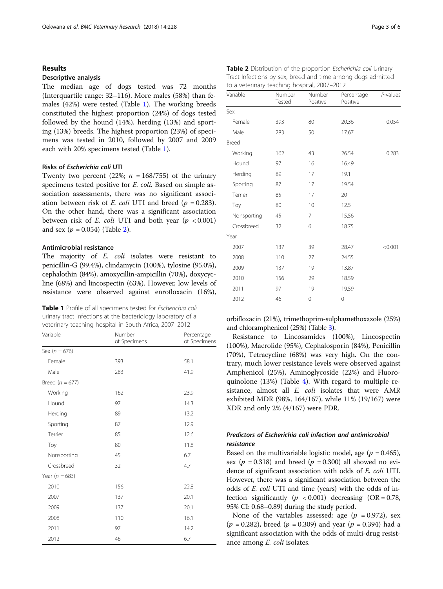#### **Results**

#### Descriptive analysis

The median age of dogs tested was 72 months (Interquartile range: 32–116). More males (58%) than females (42%) were tested (Table 1). The working breeds constituted the highest proportion (24%) of dogs tested followed by the hound (14%), herding (13%) and sporting (13%) breeds. The highest proportion (23%) of specimens was tested in 2010, followed by 2007 and 2009 each with 20% specimens tested (Table 1).

#### Risks of Escherichia coli UTI

Twenty two percent (22%;  $n = 168/755$ ) of the urinary specimens tested positive for *E. coli.* Based on simple association assessments, there was no significant association between risk of *E. coli* UTI and breed ( $p = 0.283$ ). On the other hand, there was a significant association between risk of  $E$ . *coli* UTI and both year ( $p < 0.001$ ) and sex  $(p = 0.054)$  (Table 2).

#### Antimicrobial resistance

The majority of E. coli isolates were resistant to penicillin-G (99.4%), clindamycin (100%), tylosine (95.0%), cephalothin (84%), amoxycillin-ampicillin (70%), doxycycline (68%) and lincospectin (63%). However, low levels of resistance were observed against enrofloxacin (16%),

| Table 1 Profile of all specimens tested for Escherichia coli |
|--------------------------------------------------------------|
| urinary tract infections at the bacteriology laboratory of a |
| veterinary teaching hospital in South Africa, 2007-2012      |

| Variable            | Number<br>of Specimens | Percentage<br>of Specimens |
|---------------------|------------------------|----------------------------|
| Sex ( $n = 676$ )   |                        |                            |
| Female              | 393                    | 58.1                       |
| Male                | 283                    | 41.9                       |
| Breed ( $n = 677$ ) |                        |                            |
| Working             | 162                    | 23.9                       |
| Hound               | 97                     | 14.3                       |
| Herding             | 89                     | 13.2                       |
| Sporting            | 87                     | 12.9                       |
| Terrier             | 85                     | 12.6                       |
| Toy                 | 80                     | 11.8                       |
| Nonsporting         | 45                     | 6.7                        |
| Crossbreed          | 32                     | 4.7                        |
| Year ( $n = 683$ )  |                        |                            |
| 2010                | 156                    | 22.8                       |
| 2007                | 137                    | 20.1                       |
| 2009                | 137                    | 20.1                       |
| 2008                | 110                    | 16.1                       |
| 2011                | 97                     | 14.2                       |
| 2012                | 46                     | 6.7                        |

| Page 3 of 6 |  |  |  |
|-------------|--|--|--|
|-------------|--|--|--|

| Table 2 Distribution of the proportion Escherichia coli Urinary |
|-----------------------------------------------------------------|
| Tract Infections by sex, breed and time among dogs admitted     |
| to a veterinary teaching hospital, 2007–2012                    |

| Variable    | Number<br>Tested | Number<br>Positive | Percentage<br>Positive | P-values |
|-------------|------------------|--------------------|------------------------|----------|
| Sex         |                  |                    |                        |          |
| Female      | 393              | 80                 | 20.36                  | 0.054    |
| Male        | 283              | 50                 | 17.67                  |          |
| Breed       |                  |                    |                        |          |
| Working     | 162              | 43                 | 26.54                  | 0.283    |
| Hound       | 97               | 16                 | 16.49                  |          |
| Herding     | 89               | 17                 | 19.1                   |          |
| Sporting    | 87               | 17                 | 19.54                  |          |
| Terrier     | 85               | 17                 | 20                     |          |
| Toy         | 80               | 10                 | 12.5                   |          |
| Nonsporting | 45               | 7                  | 15.56                  |          |
| Crossbreed  | 32               | 6                  | 18.75                  |          |
| Year        |                  |                    |                        |          |
| 2007        | 137              | 39                 | 28.47                  | < 0.001  |
| 2008        | 110              | 27                 | 24.55                  |          |
| 2009        | 137              | 19                 | 13.87                  |          |
| 2010        | 156              | 29                 | 18.59                  |          |
| 2011        | 97               | 19                 | 19.59                  |          |
| 2012        | 46               | 0                  | 0                      |          |

orbifloxacin (21%), trimethoprim-sulphamethoxazole (25%) and chloramphenicol (25%) (Table [3\)](#page-4-0).

Resistance to Lincosamides (100%), Lincospectin (100%), Macrolide (95%), Cephalosporin (84%), Penicillin (70%), Tetracycline (68%) was very high. On the contrary, much lower resistance levels were observed against Amphenicol (25%), Aminoglycoside (22%) and Fluoroquinolone (13%) (Table [4\)](#page-4-0). With regard to multiple resistance, almost all E. coli isolates that were AMR exhibited MDR (98%, 164/167), while 11% (19/167) were XDR and only 2% (4/167) were PDR.

#### Predictors of Escherichia coli infection and antimicrobial resistance

Based on the multivariable logistic model, age ( $p = 0.465$ ), sex ( $p = 0.318$ ) and breed ( $p = 0.300$ ) all showed no evidence of significant association with odds of E. coli UTI. However, there was a significant association between the odds of E. coli UTI and time (years) with the odds of infection significantly  $(p \lt 0.001)$  decreasing  $(OR = 0.78,$ 95% CI: 0.68–0.89) during the study period.

None of the variables assessed: age ( $p = 0.972$ ), sex  $(p = 0.282)$ , breed  $(p = 0.309)$  and year  $(p = 0.394)$  had a significant association with the odds of multi-drug resistance among E. coli isolates.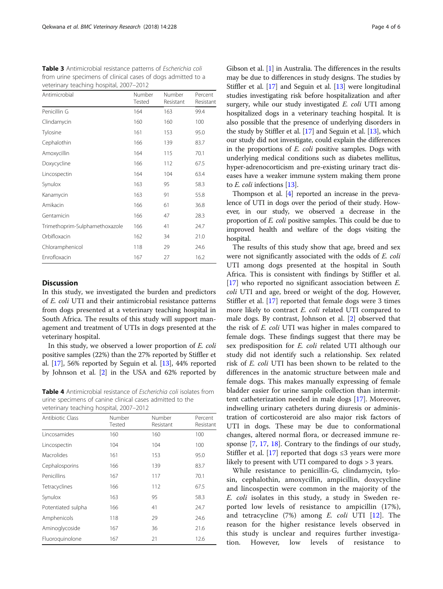<span id="page-4-0"></span>

| Table 3 Antimicrobial resistance patterns of Escherichia coli |
|---------------------------------------------------------------|
| from urine specimens of clinical cases of dogs admitted to a  |
| veterinary teaching hospital, 2007-2012                       |

| Antimicrobial                  | Number<br>Tested | Number<br>Resistant | Percent<br>Resistant |
|--------------------------------|------------------|---------------------|----------------------|
| Penicillin G                   | 164              | 163                 | 99.4                 |
| Clindamycin                    | 160              | 160                 | 100                  |
| Tylosine                       | 161              | 153                 | 95.0                 |
| Cephalothin                    | 166              | 139                 | 83.7                 |
| Amoxycillin                    | 164              | 115                 | 70.1                 |
| Doxycycline                    | 166              | 112                 | 67.5                 |
| Lincospectin                   | 164              | 104                 | 63.4                 |
| Synulox                        | 163              | 95                  | 58.3                 |
| Kanamycin                      | 163              | 91                  | 55.8                 |
| Amikacin                       | 166              | 61                  | 36.8                 |
| Gentamicin                     | 166              | 47                  | 28.3                 |
| Trimethoprim-Sulphamethoxazole | 166              | 41                  | 24.7                 |
| Orbifloxacin                   | 162              | 34                  | 21.0                 |
| Chloramphenicol                | 118              | 29                  | 24.6                 |
| Enrofloxacin                   | 167              | 27                  | 16.2                 |

#### **Discussion**

In this study, we investigated the burden and predictors of E. coli UTI and their antimicrobial resistance patterns from dogs presented at a veterinary teaching hospital in South Africa. The results of this study will support management and treatment of UTIs in dogs presented at the veterinary hospital.

In this study, we observed a lower proportion of E. coli positive samples (22%) than the 27% reported by Stiffler et al. [\[17\]](#page-6-0), 56% reported by Seguin et al. [\[13\]](#page-6-0), 44% reported by Johnson et al. [\[2](#page-5-0)] in the USA and 62% reported by

Table 4 Antimicrobial resistance of Escherichia coli isolates from urine specimens of canine clinical cases admitted to the veterinary teaching hospital, 2007–2012

| Antibiotic Class   | Number<br>Tested | Number<br>Resistant | Percent<br>Resistant |
|--------------------|------------------|---------------------|----------------------|
| Lincosamides       | 160              | 160                 | 100                  |
| Lincospectin       | 104              | 104                 | 100                  |
| Macrolides         | 161              | 153                 | 95.0                 |
| Cephalosporins     | 166              | 139                 | 83.7                 |
| Penicillins        | 167              | 117                 | 70.1                 |
| Tetracyclines      | 166              | 112                 | 67.5                 |
| Synulox            | 163              | 95                  | 58.3                 |
| Potentiated sulpha | 166              | 41                  | 24.7                 |
| Amphenicols        | 118              | 29                  | 24.6                 |
| Aminoglycoside     | 167              | 36                  | 21.6                 |
| Fluoroquinolone    | 167              | 21                  | 12.6                 |

Gibson et al. [[1](#page-5-0)] in Australia. The differences in the results may be due to differences in study designs. The studies by Stiffler et al. [[17](#page-6-0)] and Seguin et al. [[13\]](#page-6-0) were longitudinal studies investigating risk before hospitalization and after surgery, while our study investigated E. coli UTI among hospitalized dogs in a veterinary teaching hospital. It is also possible that the presence of underlying disorders in the study by Stiffler et al. [[17\]](#page-6-0) and Seguin et al. [\[13\]](#page-6-0), which our study did not investigate, could explain the differences in the proportions of E. coli positive samples. Dogs with underlying medical conditions such as diabetes mellitus, hyper-adrenocorticism and pre-existing urinary tract diseases have a weaker immune system making them prone to E. coli infections [[13](#page-6-0)].

Thompson et al. [\[4\]](#page-6-0) reported an increase in the prevalence of UTI in dogs over the period of their study. However, in our study, we observed a decrease in the proportion of E. coli positive samples. This could be due to improved health and welfare of the dogs visiting the hospital.

The results of this study show that age, breed and sex were not significantly associated with the odds of E. coli UTI among dogs presented at the hospital in South Africa. This is consistent with findings by Stiffler et al. [[17\]](#page-6-0) who reported no significant association between *E*. coli UTI and age, breed or weight of the dog. However, Stiffler et al. [[17\]](#page-6-0) reported that female dogs were 3 times more likely to contract *E. coli* related UTI compared to male dogs. By contrast, Johnson et al. [\[2](#page-5-0)] observed that the risk of E. coli UTI was higher in males compared to female dogs. These findings suggest that there may be sex predisposition for E. coli related UTI although our study did not identify such a relationship. Sex related risk of E. coli UTI has been shown to be related to the differences in the anatomic structure between male and female dogs. This makes manually expressing of female bladder easier for urine sample collection than intermittent catheterization needed in male dogs [[17\]](#page-6-0). Moreover, indwelling urinary catheters during diuresis or administration of corticosteroid are also major risk factors of UTI in dogs. These may be due to conformational changes, altered normal flora, or decreased immune response [[7,](#page-6-0) [17,](#page-6-0) [18](#page-6-0)]. Contrary to the findings of our study, Stiffler et al. [\[17](#page-6-0)] reported that dogs ≤3 years were more likely to present with UTI compared to dogs > 3 years.

While resistance to penicillin-G, clindamycin, tylosin, cephalothin, amoxycillin, ampicillin, doxycycline and lincospectin were common in the majority of the E. coli isolates in this study, a study in Sweden reported low levels of resistance to ampicillin (17%), and tetracycline  $(7%)$  among E. coli UTI  $[12]$  $[12]$ . The reason for the higher resistance levels observed in this study is unclear and requires further investigation. However, low levels of resistance to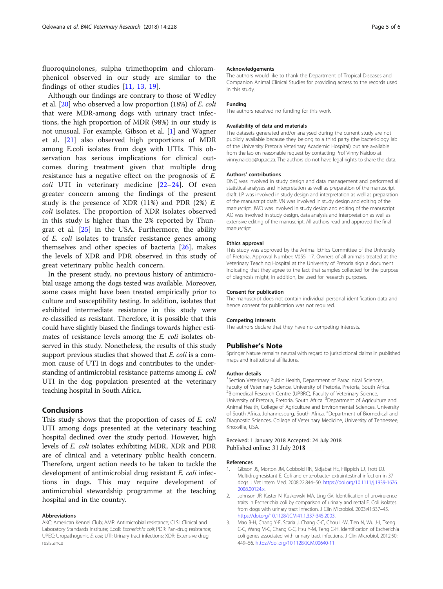<span id="page-5-0"></span>fluoroquinolones, sulpha trimethoprim and chloramphenicol observed in our study are similar to the findings of other studies [[11](#page-6-0), [13](#page-6-0), [19](#page-6-0)].

Although our findings are contrary to those of Wedley et al. [\[20](#page-6-0)] who observed a low proportion (18%) of E. coli that were MDR-among dogs with urinary tract infections, the high proportion of MDR (98%) in our study is not unusual. For example, Gibson et al. [1] and Wagner et al. [[21](#page-6-0)] also observed high proportions of MDR among E.coli isolates from dogs with UTIs. This observation has serious implications for clinical outcomes during treatment given that multiple drug resistance has a negative effect on the prognosis of E. coli UTI in veterinary medicine [[22](#page-6-0)-[24](#page-6-0)]. Of even greater concern among the findings of the present study is the presence of XDR  $(11%)$  and PDR  $(2%)$  E. coli isolates. The proportion of XDR isolates observed in this study is higher than the 2% reported by Thungrat et al. [\[25](#page-6-0)] in the USA. Furthermore, the ability of E. coli isolates to transfer resistance genes among themselves and other species of bacteria [[26\]](#page-6-0), makes the levels of XDR and PDR observed in this study of great veterinary public health concern.

In the present study, no previous history of antimicrobial usage among the dogs tested was available. Moreover, some cases might have been treated empirically prior to culture and susceptibility testing. In addition, isolates that exhibited intermediate resistance in this study were re-classified as resistant. Therefore, it is possible that this could have slightly biased the findings towards higher estimates of resistance levels among the E. coli isolates observed in this study. Nonetheless, the results of this study support previous studies that showed that E. coli is a common cause of UTI in dogs and contributes to the understanding of antimicrobial resistance patterns among E. coli UTI in the dog population presented at the veterinary teaching hospital in South Africa.

#### Conclusions

This study shows that the proportion of cases of E. coli UTI among dogs presented at the veterinary teaching hospital declined over the study period. However, high levels of E. coli isolates exhibiting MDR, XDR and PDR are of clinical and a veterinary public health concern. Therefore, urgent action needs to be taken to tackle the development of antimicrobial drug resistant E. coli infections in dogs. This may require development of antimicrobial stewardship programme at the teaching hospital and in the country.

#### Abbreviations

AKC: American Kennel Club; AMR: Antimicrobial resistance; CLSI: Clinical and Laboratory Standards Institute; E.coli: Escherichia coli; PDR: Pan-drug resistance; UPEC: Uropathogenic E. coli; UTI: Urinary tract infections; XDR: Extensive drug resistance

#### Acknowledgements

The authors would like to thank the Department of Tropical Diseases and Companion Animal Clinical Studies for providing access to the records used in this study.

#### Funding

The authors received no funding for this work.

#### Availability of data and materials

The datasets generated and/or analysed during the current study are not publicly available because they belong to a third party (the bacteriology lab of the University Pretoria Veterinary Academic Hospital) but are available from the lab on reasonable request by contacting Prof Vinny Naidoo at vinny.naidoo@up.ac.za. The authors do not have legal rights to share the data.

#### Authors' contributions

DNQ was involved in study design and data management and performed all statistical analyses and interpretation as well as preparation of the manuscript draft. LP was involved in study design and interpretation as well as preparation of the manuscript draft. VN was involved in study design and editing of the manuscript. JWO was involved in study design and editing of the manuscript. AO was involved in study design, data analysis and interpretation as well as extensive editing of the manuscript. All authors read and approved the final manuscript

#### Ethics approval

This study was approved by the Animal Ethics Committee of the University of Pretoria, Approval Number: V055–17. Owners of all animals treated at the Veterinary Teaching Hospital at the University of Pretoria sign a document indicating that they agree to the fact that samples collected for the purpose of diagnosis might, in addition, be used for research purposes.

#### Consent for publication

The manuscript does not contain individual personal identification data and hence consent for publication was not required.

#### Competing interests

The authors declare that they have no competing interests.

#### Publisher's Note

Springer Nature remains neutral with regard to jurisdictional claims in published maps and institutional affiliations.

#### Author details

<sup>1</sup>Section Veterinary Public Health, Department of Paraclinical Sciences, Faculty of Veterinary Science, University of Pretoria, Pretoria, South Africa. <sup>2</sup> Biomedical Research Centre (UPBRC), Faculty of Veterinary Science University of Pretoria, Pretoria, South Africa. <sup>3</sup>Department of Agriculture and Animal Health, College of Agriculture and Environmental Sciences, University of South Africa, Johannesburg, South Africa. <sup>4</sup>Department of Biomedical and Diagnostic Sciences, College of Veterinary Medicine, University of Tennessee, Knoxville, USA.

#### Received: 1 January 2018 Accepted: 24 July 2018 Published online: 31 July 2018

#### References

- Gibson JS, Morton JM, Cobbold RN, Sidjabat HE, Filippich LJ, Trott DJ. Multidrug-resistant E. Coli and enterobacter extraintestinal infection in 37 dogs. J Vet Intern Med. 2008;22:844–50. [https://doi.org/10.1111/j.1939-1676.](https://doi.org/10.1111/j.1939-1676.2008.00124.x) [2008.00124.x.](https://doi.org/10.1111/j.1939-1676.2008.00124.x)
- 2. Johnson JR, Kaster N, Kuskowski MA, Ling GV. Identification of urovirulence traits in Escherichia coli by comparison of urinary and rectal E. Coli isolates from dogs with urinary tract infection. J Clin Microbiol. 2003;41:337–45. <https://doi.org/10.1128/JCM.41.1.337-345.2003>.
- 3. Mao B-H, Chang Y-F, Scaria J, Chang C-C, Chou L-W, Tien N, Wu J-J, Tseng C-C, Wang M-C, Chang C-C, Hsu Y-M, Teng C-H. Identification of Escherichia coli genes associated with urinary tract infections. J Clin Microbiol. 2012;50: 449–56. [https://doi.org/10.1128/JCM.00640-11.](https://doi.org/10.1128/JCM.00640-11)